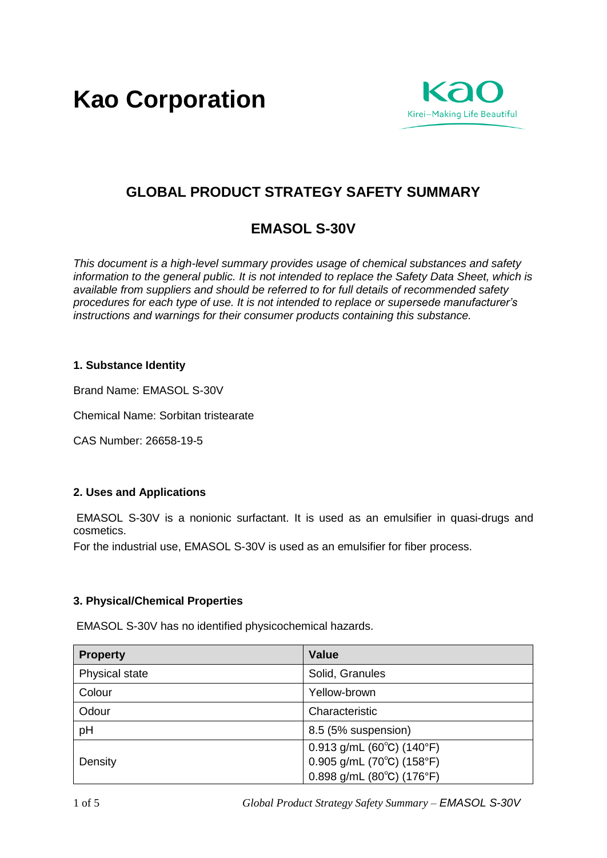**Kao Corporation**



# **GLOBAL PRODUCT STRATEGY SAFETY SUMMARY**

## **EMASOL S-30V**

*This document is a high-level summary provides usage of chemical substances and safety information to the general public. It is not intended to replace the Safety Data Sheet, which is available from suppliers and should be referred to for full details of recommended safety procedures for each type of use. It is not intended to replace or supersede manufacturer's instructions and warnings for their consumer products containing this substance.* 

## **1. Substance Identity**

Brand Name: EMASOL S-30V

Chemical Name: Sorbitan tristearate

CAS Number: 26658-19-5

## **2. Uses and Applications**

EMASOL S-30V is a nonionic surfactant. It is used as an emulsifier in quasi-drugs and cosmetics.

For the industrial use, EMASOL S-30V is used as an emulsifier for fiber process.

## **3. Physical/Chemical Properties**

EMASOL S-30V has no identified physicochemical hazards.

| <b>Property</b> | <b>Value</b>                                                                   |
|-----------------|--------------------------------------------------------------------------------|
| Physical state  | Solid, Granules                                                                |
| Colour          | Yellow-brown                                                                   |
| Odour           | Characteristic                                                                 |
| pH              | 8.5 (5% suspension)                                                            |
| Density         | 0.913 g/mL (60 $^{\circ}$ C) (140 $^{\circ}$ F)<br>$0.905$ g/mL (70°C) (158°F) |
|                 | $0.898$ g/mL (80 $^{\circ}$ C) (176 $^{\circ}$ F)                              |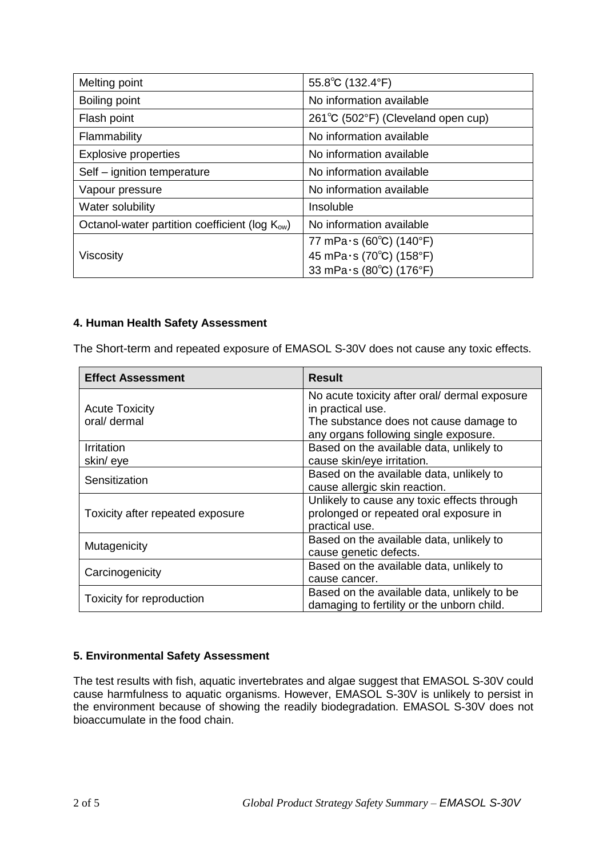| Melting point                                              | 55.8°C (132.4°F)                   |
|------------------------------------------------------------|------------------------------------|
| Boiling point                                              | No information available           |
| Flash point                                                | 261°C (502°F) (Cleveland open cup) |
| Flammability                                               | No information available           |
| <b>Explosive properties</b>                                | No information available           |
| Self - ignition temperature                                | No information available           |
| Vapour pressure                                            | No information available           |
| Water solubility                                           | Insoluble                          |
| Octanol-water partition coefficient (log K <sub>ow</sub> ) | No information available           |
|                                                            | 77 mPa $\cdot$ s (60°C) (140°F)    |
| <b>Viscosity</b>                                           | 45 mPa·s (70°C) (158°F)            |
|                                                            | 33 mPa·s (80°C) (176°F)            |

## **4. Human Health Safety Assessment**

The Short-term and repeated exposure of EMASOL S-30V does not cause any toxic effects.

| <b>Effect Assessment</b>              | <b>Result</b>                                                                                                                                         |
|---------------------------------------|-------------------------------------------------------------------------------------------------------------------------------------------------------|
| <b>Acute Toxicity</b><br>oral/ dermal | No acute toxicity after oral/ dermal exposure<br>in practical use.<br>The substance does not cause damage to<br>any organs following single exposure. |
| <b>Irritation</b><br>skin/eye         | Based on the available data, unlikely to<br>cause skin/eye irritation.                                                                                |
| Sensitization                         | Based on the available data, unlikely to<br>cause allergic skin reaction.                                                                             |
| Toxicity after repeated exposure      | Unlikely to cause any toxic effects through<br>prolonged or repeated oral exposure in<br>practical use.                                               |
| Mutagenicity                          | Based on the available data, unlikely to<br>cause genetic defects.                                                                                    |
| Carcinogenicity                       | Based on the available data, unlikely to<br>cause cancer.                                                                                             |
| Toxicity for reproduction             | Based on the available data, unlikely to be<br>damaging to fertility or the unborn child.                                                             |

## **5. Environmental Safety Assessment**

The test results with fish, aquatic invertebrates and algae suggest that EMASOL S-30V could cause harmfulness to aquatic organisms. However, EMASOL S-30V is unlikely to persist in the environment because of showing the readily biodegradation. EMASOL S-30V does not bioaccumulate in the food chain.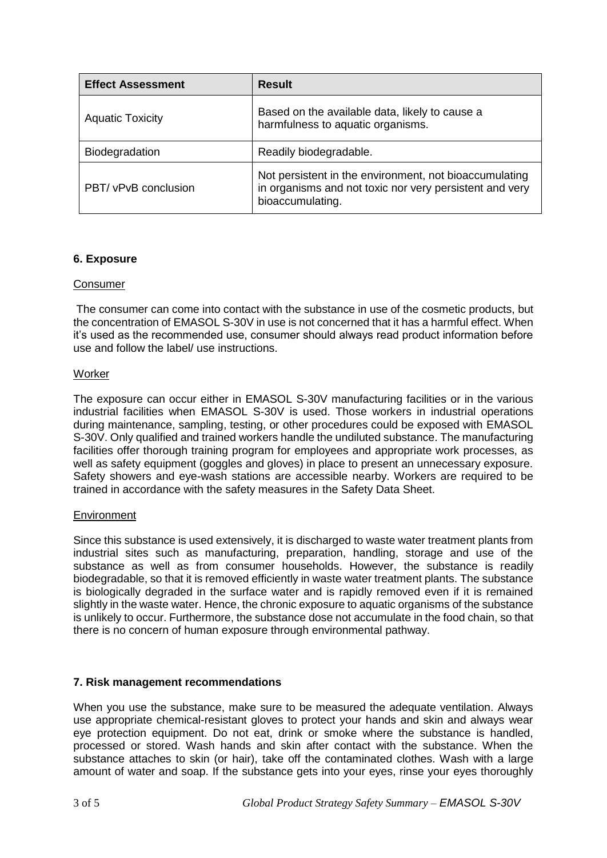| <b>Effect Assessment</b> | <b>Result</b>                                                                                                                         |
|--------------------------|---------------------------------------------------------------------------------------------------------------------------------------|
| <b>Aquatic Toxicity</b>  | Based on the available data, likely to cause a<br>harmfulness to aquatic organisms.                                                   |
| Biodegradation           | Readily biodegradable.                                                                                                                |
| PBT/ vPvB conclusion     | Not persistent in the environment, not bioaccumulating<br>in organisms and not toxic nor very persistent and very<br>bioaccumulating. |

## **6. Exposure**

## Consumer

The consumer can come into contact with the substance in use of the cosmetic products, but the concentration of EMASOL S-30V in use is not concerned that it has a harmful effect. When it's used as the recommended use, consumer should always read product information before use and follow the label/ use instructions.

## **Worker**

The exposure can occur either in EMASOL S-30V manufacturing facilities or in the various industrial facilities when EMASOL S-30V is used. Those workers in industrial operations during maintenance, sampling, testing, or other procedures could be exposed with EMASOL S-30V. Only qualified and trained workers handle the undiluted substance. The manufacturing facilities offer thorough training program for employees and appropriate work processes, as well as safety equipment (goggles and gloves) in place to present an unnecessary exposure. Safety showers and eye-wash stations are accessible nearby. Workers are required to be trained in accordance with the safety measures in the Safety Data Sheet.

#### **Environment**

Since this substance is used extensively, it is discharged to waste water treatment plants from industrial sites such as manufacturing, preparation, handling, storage and use of the substance as well as from consumer households. However, the substance is readily biodegradable, so that it is removed efficiently in waste water treatment plants. The substance is biologically degraded in the surface water and is rapidly removed even if it is remained slightly in the waste water. Hence, the chronic exposure to aquatic organisms of the substance is unlikely to occur. Furthermore, the substance dose not accumulate in the food chain, so that there is no concern of human exposure through environmental pathway.

## **7. Risk management recommendations**

When you use the substance, make sure to be measured the adequate ventilation. Always use appropriate chemical-resistant gloves to protect your hands and skin and always wear eye protection equipment. Do not eat, drink or smoke where the substance is handled, processed or stored. Wash hands and skin after contact with the substance. When the substance attaches to skin (or hair), take off the contaminated clothes. Wash with a large amount of water and soap. If the substance gets into your eyes, rinse your eyes thoroughly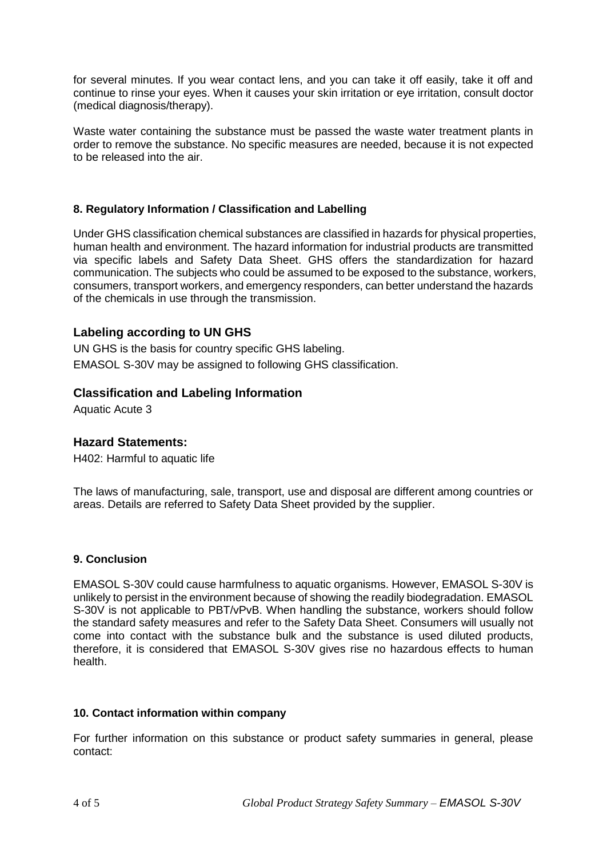for several minutes. If you wear contact lens, and you can take it off easily, take it off and continue to rinse your eyes. When it causes your skin irritation or eye irritation, consult doctor (medical diagnosis/therapy).

Waste water containing the substance must be passed the waste water treatment plants in order to remove the substance. No specific measures are needed, because it is not expected to be released into the air.

## **8. Regulatory Information / Classification and Labelling**

Under GHS classification chemical substances are classified in hazards for physical properties, human health and environment. The hazard information for industrial products are transmitted via specific labels and Safety Data Sheet. GHS offers the standardization for hazard communication. The subjects who could be assumed to be exposed to the substance, workers, consumers, transport workers, and emergency responders, can better understand the hazards of the chemicals in use through the transmission.

## **Labeling according to UN GHS**

UN GHS is the basis for country specific GHS labeling. EMASOL S-30V may be assigned to following GHS classification.

## **Classification and Labeling Information**

Aquatic Acute 3

## **Hazard Statements:**

H402: Harmful to aquatic life

The laws of manufacturing, sale, transport, use and disposal are different among countries or areas. Details are referred to Safety Data Sheet provided by the supplier.

#### **9. Conclusion**

EMASOL S-30V could cause harmfulness to aquatic organisms. However, EMASOL S-30V is unlikely to persist in the environment because of showing the readily biodegradation. EMASOL S-30V is not applicable to PBT/vPvB. When handling the substance, workers should follow the standard safety measures and refer to the Safety Data Sheet. Consumers will usually not come into contact with the substance bulk and the substance is used diluted products, therefore, it is considered that EMASOL S-30V gives rise no hazardous effects to human health.

#### **10. Contact information within company**

For further information on this substance or product safety summaries in general, please contact: